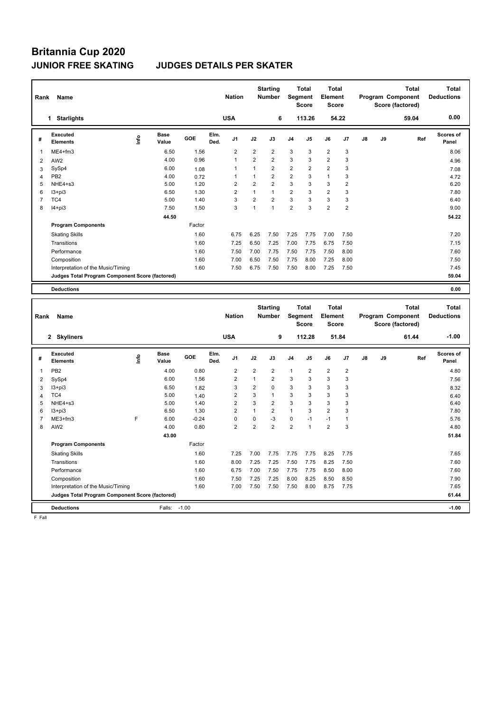# **Britannia Cup 2020**

### **JUNIOR FREE SKATING JUDGES DETAILS PER SKATER**

| Rank           | Name                                            |      |                      |         |              | <b>Nation</b>  |                | <b>Starting</b><br><b>Number</b> |                | Total<br>Segment<br><b>Score</b> | <b>Total</b><br>Element<br><b>Score</b> |                         |               | Program Component | <b>Total</b><br>Score (factored) | <b>Total</b><br><b>Deductions</b> |
|----------------|-------------------------------------------------|------|----------------------|---------|--------------|----------------|----------------|----------------------------------|----------------|----------------------------------|-----------------------------------------|-------------------------|---------------|-------------------|----------------------------------|-----------------------------------|
|                | 1 Starlights                                    |      |                      |         |              | <b>USA</b>     |                | 6                                |                | 113.26                           |                                         | 54.22                   |               |                   | 59.04                            | 0.00                              |
| #              | <b>Executed</b><br><b>Elements</b>              | ١nf٥ | <b>Base</b><br>Value | GOE     | Elm.<br>Ded. | J <sub>1</sub> | J2             | J3                               | J4             | J5                               | J6                                      | J7                      | J8            | J9                | Ref                              | Scores of<br>Panel                |
| $\mathbf{1}$   | ME4+fm3                                         |      | 6.50                 | 1.56    |              | $\overline{2}$ | $\mathbf 2$    | $\overline{2}$                   | 3              | 3                                | $\overline{c}$                          | 3                       |               |                   |                                  | 8.06                              |
| $\overline{2}$ | AW <sub>2</sub>                                 |      | 4.00                 | 0.96    |              | $\mathbf{1}$   | $\overline{2}$ | $\overline{2}$                   | 3              | 3                                | $\overline{2}$                          | 3                       |               |                   |                                  | 4.96                              |
| 3              | SySp4                                           |      | 6.00                 | 1.08    |              | 1              | 1              | $\overline{2}$                   | $\overline{2}$ | 2                                | $\overline{2}$                          | 3                       |               |                   |                                  | 7.08                              |
| $\overline{4}$ | PB <sub>2</sub>                                 |      | 4.00                 | 0.72    |              | $\mathbf{1}$   | $\mathbf{1}$   | $\overline{2}$                   | $\overline{2}$ | 3                                | $\mathbf{1}$                            | 3                       |               |                   |                                  | 4.72                              |
| 5              | NHE4+s3                                         |      | 5.00                 | 1.20    |              | $\overline{2}$ | $\overline{2}$ | $\overline{2}$                   | 3              | 3                                | 3                                       | $\overline{\mathbf{c}}$ |               |                   |                                  | 6.20                              |
| 6              | $13 + pi3$                                      |      | 6.50                 | 1.30    |              | $\overline{2}$ | $\mathbf{1}$   | $\mathbf{1}$                     | $\overline{2}$ | 3                                | $\overline{2}$                          | 3                       |               |                   |                                  | 7.80                              |
| $\overline{7}$ | TC4                                             |      | 5.00                 | 1.40    |              | 3              | $\overline{2}$ | $\overline{2}$                   | 3              | 3                                | 3                                       | 3                       |               |                   |                                  | 6.40                              |
| 8              | $I4+pi3$                                        |      | 7.50                 | 1.50    |              | 3              | $\mathbf{1}$   | $\mathbf{1}$                     | $\overline{2}$ | 3                                | $\overline{2}$                          | $\overline{2}$          |               |                   |                                  | 9.00                              |
|                |                                                 |      | 44.50                |         |              |                |                |                                  |                |                                  |                                         |                         |               |                   |                                  | 54.22                             |
|                | <b>Program Components</b>                       |      |                      | Factor  |              |                |                |                                  |                |                                  |                                         |                         |               |                   |                                  |                                   |
|                | <b>Skating Skills</b>                           |      |                      | 1.60    |              | 6.75           | 6.25           | 7.50                             | 7.25           | 7.75                             | 7.00                                    | 7.50                    |               |                   |                                  | 7.20                              |
|                | Transitions                                     |      |                      | 1.60    |              | 7.25           | 6.50           | 7.25                             | 7.00           | 7.75                             | 6.75                                    | 7.50                    |               |                   |                                  | 7.15                              |
|                | Performance                                     |      |                      | 1.60    |              | 7.50           | 7.00           | 7.75                             | 7.50           | 7.75                             | 7.50                                    | 8.00                    |               |                   |                                  | 7.60                              |
|                | Composition                                     |      |                      | 1.60    |              | 7.00           | 6.50           | 7.50                             | 7.75           | 8.00                             | 7.25                                    | 8.00                    |               |                   |                                  | 7.50                              |
|                | Interpretation of the Music/Timing              |      |                      | 1.60    |              | 7.50           | 6.75           | 7.50                             | 7.50           | 8.00                             | 7.25                                    | 7.50                    |               |                   |                                  | 7.45                              |
|                | Judges Total Program Component Score (factored) |      |                      |         |              |                |                |                                  |                |                                  |                                         |                         |               |                   |                                  | 59.04                             |
|                | <b>Deductions</b>                               |      |                      |         |              |                |                |                                  |                |                                  |                                         |                         |               |                   |                                  | 0.00                              |
|                |                                                 |      |                      |         |              |                |                | <b>Starting</b>                  |                | Total                            | <b>Total</b>                            |                         |               |                   | <b>Total</b>                     | <b>Total</b>                      |
| Rank           | Name                                            |      |                      |         |              | <b>Nation</b>  |                | <b>Number</b>                    |                | Segment                          | Element                                 |                         |               | Program Component |                                  | <b>Deductions</b>                 |
|                |                                                 |      |                      |         |              |                |                |                                  |                | <b>Score</b>                     | <b>Score</b>                            |                         |               | Score (factored)  |                                  |                                   |
|                | 2 Skyliners                                     |      |                      |         |              | <b>USA</b>     |                | 9                                |                | 112.28                           |                                         | 51.84                   |               |                   | 61.44                            | $-1.00$                           |
| #              | <b>Executed</b><br><b>Elements</b>              | ۴    | <b>Base</b><br>Value | GOE     | Elm.<br>Ded. | J1             | J2             | J3                               | J4             | J5                               | J6                                      | J7                      | $\mathsf{J}8$ | J9                | Ref                              | Scores of<br>Panel                |
| $\mathbf{1}$   | PB <sub>2</sub>                                 |      | 4.00                 | 0.80    |              | $\overline{2}$ | $\overline{2}$ | $\overline{2}$                   | $\mathbf{1}$   | $\overline{2}$                   | $\overline{2}$                          | $\overline{2}$          |               |                   |                                  | 4.80                              |
| $\overline{2}$ | SySp4                                           |      | 6.00                 | 1.56    |              | $\overline{2}$ | $\mathbf{1}$   | $\overline{2}$                   | 3              | 3                                | 3                                       | 3                       |               |                   |                                  | 7.56                              |
| 3              | $13 + pi3$                                      |      | 6.50                 | 1.82    |              | 3              | $\overline{2}$ | $\mathbf 0$                      | 3              | 3                                | 3                                       | 3                       |               |                   |                                  | 8.32                              |
| $\overline{4}$ | TC4                                             |      | 5.00                 | 1.40    |              | $\overline{2}$ | 3              | $\mathbf{1}$                     | 3              | 3                                | 3                                       | 3                       |               |                   |                                  | 6.40                              |
| 5              | NHE4+s3                                         |      | 5.00                 | 1.40    |              | $\overline{2}$ | 3              | $\overline{2}$                   | 3              | 3                                | 3                                       | 3                       |               |                   |                                  | 6.40                              |
| 6              | $13 + pi3$                                      |      | 6.50                 | 1.30    |              | $\overline{2}$ | $\mathbf{1}$   | $\overline{2}$                   | $\mathbf{1}$   | 3                                | $\overline{2}$                          | 3                       |               |                   |                                  | 7.80                              |
| $\overline{7}$ | ME3+fm3                                         | F    | 6.00                 | $-0.24$ |              | 0              | 0              | -3                               | 0              | $-1$                             | $-1$                                    | $\mathbf{1}$            |               |                   |                                  | 5.76                              |
| 8              | AW <sub>2</sub>                                 |      | 4.00                 | 0.80    |              | $\overline{2}$ | $\overline{2}$ | $\overline{2}$                   | $\overline{2}$ | $\mathbf{1}$                     | $\overline{2}$                          | 3                       |               |                   |                                  | 4.80                              |
|                |                                                 |      | 43.00                |         |              |                |                |                                  |                |                                  |                                         |                         |               |                   |                                  | 51.84                             |
|                | <b>Program Components</b>                       |      |                      | Factor  |              |                |                |                                  |                |                                  |                                         |                         |               |                   |                                  |                                   |

**Deductions** Falls: -1.00 **-1.00**

Skating Skills 7.25 7.00 7.75 7.75 7.75 8.25 7.75 1.60 7.65 Transitions 1.60 8.00 7.25 7.25 7.50 7.75 8.25 7.50 7.60 Performance 1.60 6.75 7.00 7.50 7.75 7.75 8.50 8.00 7.60 Composition 1.60 7.50 7.25 7.25 8.00 8.25 8.50 8.50 7.90 Interpretation of the Music/Timing 1.60 1.60 7.50 7.50 7.50 7.50 8.00 8.75 7.75 7.65 **Judges Total Program Component Score (factored) 61.44**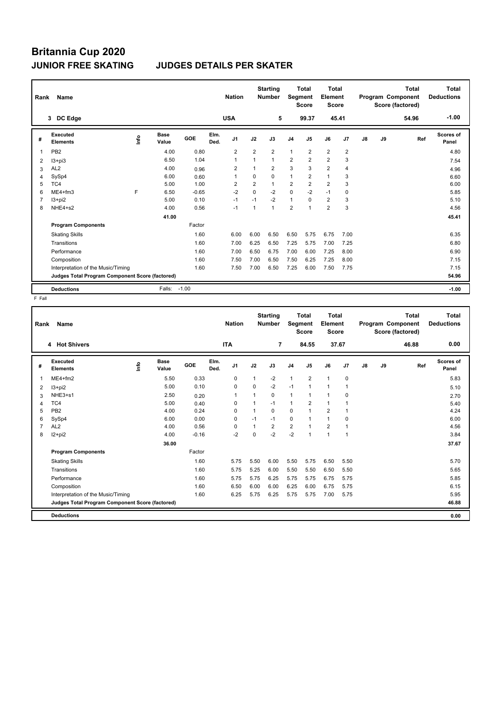## **Britannia Cup 2020 JUNIOR FREE SKATING JUDGES DETAILS PER SKATER**

| Rank           | Name                                            |      |                      |         |              | <b>Nation</b>  |                | <b>Starting</b><br><b>Number</b> | Segment        | <b>Total</b><br><b>Score</b> | <b>Total</b><br>Element<br><b>Score</b> |                |               |    | <b>Total</b><br>Program Component<br>Score (factored) | Total<br><b>Deductions</b> |
|----------------|-------------------------------------------------|------|----------------------|---------|--------------|----------------|----------------|----------------------------------|----------------|------------------------------|-----------------------------------------|----------------|---------------|----|-------------------------------------------------------|----------------------------|
|                | DC Edge<br>$3^{\circ}$                          |      |                      |         |              | <b>USA</b>     |                | 5                                |                | 99.37                        | 45.41                                   |                |               |    | 54.96                                                 | $-1.00$                    |
| #              | Executed<br><b>Elements</b>                     | ١nf٥ | <b>Base</b><br>Value | GOE     | Elm.<br>Ded. | J <sub>1</sub> | J2             | J3                               | J <sub>4</sub> | J <sub>5</sub>               | J6                                      | J7             | $\mathsf{J}8$ | J9 | Ref                                                   | Scores of<br>Panel         |
| 1              | PB <sub>2</sub>                                 |      | 4.00                 | 0.80    |              | $\overline{2}$ | $\overline{2}$ | $\overline{2}$                   | $\mathbf{1}$   | $\overline{2}$               | $\overline{2}$                          | $\overline{2}$ |               |    |                                                       | 4.80                       |
| $\overline{2}$ | $13 + pi3$                                      |      | 6.50                 | 1.04    |              | 1              | $\overline{1}$ | $\mathbf{1}$                     | $\overline{2}$ | $\overline{2}$               | $\overline{2}$                          | 3              |               |    |                                                       | 7.54                       |
| 3              | AL <sub>2</sub>                                 |      | 4.00                 | 0.96    |              | $\overline{2}$ |                | $\overline{2}$                   | 3              | 3                            | $\overline{2}$                          | 4              |               |    |                                                       | 4.96                       |
| 4              | SySp4                                           |      | 6.00                 | 0.60    |              | $\overline{1}$ | $\Omega$       | $\Omega$                         | $\mathbf{1}$   | $\overline{2}$               | $\mathbf{1}$                            | 3              |               |    |                                                       | 6.60                       |
| 5              | TC4                                             |      | 5.00                 | 1.00    |              | $\overline{2}$ | $\overline{2}$ | $\mathbf{1}$                     | $\overline{2}$ | $\overline{2}$               | $\overline{2}$                          | 3              |               |    |                                                       | 6.00                       |
| 6              | ME4+fm3                                         | E    | 6.50                 | $-0.65$ |              | $-2$           | $\Omega$       | $-2$                             | 0              | $-2$                         | $-1$                                    | 0              |               |    |                                                       | 5.85                       |
| 7              | I3+pi2                                          |      | 5.00                 | 0.10    |              | $-1$           | $-1$           | $-2$                             | $\mathbf{1}$   | $\Omega$                     | $\overline{2}$                          | 3              |               |    |                                                       | 5.10                       |
| 8              | NHE4+s2                                         |      | 4.00                 | 0.56    |              | $-1$           | $\overline{1}$ | $\overline{1}$                   | $\overline{2}$ | 1                            | $\overline{2}$                          | 3              |               |    |                                                       | 4.56                       |
|                |                                                 |      | 41.00                |         |              |                |                |                                  |                |                              |                                         |                |               |    |                                                       | 45.41                      |
|                | <b>Program Components</b>                       |      |                      | Factor  |              |                |                |                                  |                |                              |                                         |                |               |    |                                                       |                            |
|                | <b>Skating Skills</b>                           |      |                      | 1.60    |              | 6.00           | 6.00           | 6.50                             | 6.50           | 5.75                         | 6.75                                    | 7.00           |               |    |                                                       | 6.35                       |
|                | Transitions                                     |      |                      | 1.60    |              | 7.00           | 6.25           | 6.50                             | 7.25           | 5.75                         | 7.00                                    | 7.25           |               |    |                                                       | 6.80                       |
|                | Performance                                     |      |                      | 1.60    |              | 7.00           | 6.50           | 6.75                             | 7.00           | 6.00                         | 7.25                                    | 8.00           |               |    |                                                       | 6.90                       |
|                | Composition                                     |      |                      | 1.60    |              | 7.50           | 7.00           | 6.50                             | 7.50           | 6.25                         | 7.25                                    | 8.00           |               |    |                                                       | 7.15                       |
|                | Interpretation of the Music/Timing              |      |                      | 1.60    |              | 7.50           | 7.00           | 6.50                             | 7.25           | 6.00                         | 7.50                                    | 7.75           |               |    |                                                       | 7.15                       |
|                | Judges Total Program Component Score (factored) |      |                      |         |              |                |                |                                  |                |                              |                                         |                |               |    |                                                       | 54.96                      |
|                | <b>Deductions</b>                               |      | Falls:               | $-1.00$ |              |                |                |                                  |                |                              |                                         |                |               |    |                                                       | $-1.00$                    |

| Rank | Name                                            |               |                      |         |              | <b>Nation</b>  |          | <b>Starting</b><br><b>Number</b> | Segment        | <b>Total</b><br><b>Score</b> | <b>Total</b><br>Element<br><b>Score</b> |                |    |    | <b>Total</b><br>Program Component<br>Score (factored) | Total<br><b>Deductions</b> |
|------|-------------------------------------------------|---------------|----------------------|---------|--------------|----------------|----------|----------------------------------|----------------|------------------------------|-----------------------------------------|----------------|----|----|-------------------------------------------------------|----------------------------|
|      | 4 Hot Shivers                                   |               |                      |         |              | <b>ITA</b>     |          | $\overline{7}$                   |                | 84.55                        |                                         | 37.67          |    |    | 46.88                                                 | 0.00                       |
| #    | Executed<br><b>Elements</b>                     | $\frac{6}{2}$ | <b>Base</b><br>Value | GOE     | Elm.<br>Ded. | J <sub>1</sub> | J2       | J3                               | J <sub>4</sub> | J5                           | J6                                      | J <sub>7</sub> | J8 | J9 | Ref                                                   | Scores of<br>Panel         |
| 1    | $ME4 + fm2$                                     |               | 5.50                 | 0.33    |              | 0              | 1        | $-2$                             | $\mathbf{1}$   | $\overline{2}$               | $\mathbf{1}$                            | 0              |    |    |                                                       | 5.83                       |
| 2    | $13 + pi2$                                      |               | 5.00                 | 0.10    |              | 0              | $\Omega$ | $-2$                             | $-1$           | 1                            | 1                                       |                |    |    |                                                       | 5.10                       |
| 3    | NHE3+s1                                         |               | 2.50                 | 0.20    |              | 1              | 1        | 0                                | $\mathbf{1}$   | 1                            | 1                                       | 0              |    |    |                                                       | 2.70                       |
| 4    | TC4                                             |               | 5.00                 | 0.40    |              | 0              |          | $-1$                             | $\mathbf{1}$   | 2                            | $\mathbf{1}$                            | 1              |    |    |                                                       | 5.40                       |
| 5    | PB <sub>2</sub>                                 |               | 4.00                 | 0.24    |              | 0              | 1        | 0                                | $\mathbf 0$    | $\overline{1}$               | $\overline{2}$                          | 1              |    |    |                                                       | 4.24                       |
| 6    | SySp4                                           |               | 6.00                 | 0.00    |              | $\Omega$       | $-1$     | $-1$                             | $\mathbf 0$    | 1                            | $\mathbf{1}$                            | 0              |    |    |                                                       | 6.00                       |
| 7    | AL <sub>2</sub>                                 |               | 4.00                 | 0.56    |              | $\Omega$       | 1        | $\overline{2}$                   | $\overline{2}$ | $\blacktriangleleft$         | $\overline{2}$                          | 1              |    |    |                                                       | 4.56                       |
| 8    | $12+pi2$                                        |               | 4.00                 | $-0.16$ |              | $-2$           | 0        | $-2$                             | $-2$           |                              | 1                                       | $\overline{1}$ |    |    |                                                       | 3.84                       |
|      |                                                 |               | 36.00                |         |              |                |          |                                  |                |                              |                                         |                |    |    |                                                       | 37.67                      |
|      | <b>Program Components</b>                       |               |                      | Factor  |              |                |          |                                  |                |                              |                                         |                |    |    |                                                       |                            |
|      | <b>Skating Skills</b>                           |               |                      | 1.60    |              | 5.75           | 5.50     | 6.00                             | 5.50           | 5.75                         | 6.50                                    | 5.50           |    |    |                                                       | 5.70                       |
|      | Transitions                                     |               |                      | 1.60    |              | 5.75           | 5.25     | 6.00                             | 5.50           | 5.50                         | 6.50                                    | 5.50           |    |    |                                                       | 5.65                       |
|      | Performance                                     |               |                      | 1.60    |              | 5.75           | 5.75     | 6.25                             | 5.75           | 5.75                         | 6.75                                    | 5.75           |    |    |                                                       | 5.85                       |
|      | Composition                                     |               |                      | 1.60    |              | 6.50           | 6.00     | 6.00                             | 6.25           | 6.00                         | 6.75                                    | 5.75           |    |    |                                                       | 6.15                       |
|      | Interpretation of the Music/Timing              |               |                      | 1.60    |              | 6.25           | 5.75     | 6.25                             | 5.75           | 5.75                         | 7.00                                    | 5.75           |    |    |                                                       | 5.95                       |
|      | Judges Total Program Component Score (factored) |               |                      |         |              |                |          |                                  |                |                              |                                         |                |    |    |                                                       | 46.88                      |
|      | <b>Deductions</b>                               |               |                      |         |              |                |          |                                  |                |                              |                                         |                |    |    |                                                       | 0.00                       |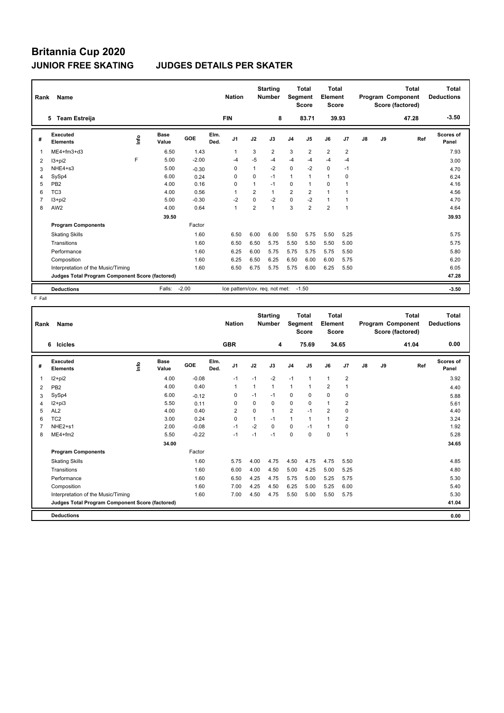## **Britannia Cup 2020 JUNIOR FREE SKATING JUDGES DETAILS PER SKATER**

| Rank           | Name                                            |      |               |         |              | <b>Nation</b>                  |                | <b>Starting</b><br><b>Number</b> | Segment        | <b>Total</b><br><b>Score</b> | Total<br>Element<br><b>Score</b> |                |               |    | <b>Total</b><br>Program Component<br>Score (factored) | Total<br><b>Deductions</b> |
|----------------|-------------------------------------------------|------|---------------|---------|--------------|--------------------------------|----------------|----------------------------------|----------------|------------------------------|----------------------------------|----------------|---------------|----|-------------------------------------------------------|----------------------------|
|                | <b>Team Estreija</b><br>5                       |      |               |         |              | <b>FIN</b>                     |                | 8                                |                | 83.71                        | 39.93                            |                |               |    | 47.28                                                 | $-3.50$                    |
| #              | Executed<br><b>Elements</b>                     | lnfo | Base<br>Value | GOE     | Elm.<br>Ded. | J <sub>1</sub>                 | J2             | J3                               | J <sub>4</sub> | J <sub>5</sub>               | J6                               | J <sub>7</sub> | $\mathsf{J}8$ | J9 | Ref                                                   | Scores of<br>Panel         |
| 1              | ME4+fm3+d3                                      |      | 6.50          | 1.43    |              | $\mathbf{1}$                   | 3              | $\overline{2}$                   | 3              | $\overline{2}$               | $\overline{2}$                   | $\overline{2}$ |               |    |                                                       | 7.93                       |
| 2              | $13 + pi2$                                      | F    | 5.00          | $-2.00$ |              | -4                             | $-5$           | -4                               | $-4$           | $-4$                         | -4                               | $-4$           |               |    |                                                       | 3.00                       |
| 3              | NHE4+s3                                         |      | 5.00          | $-0.30$ |              | 0                              | 1              | $-2$                             | $\mathbf 0$    | $-2$                         | 0                                | $-1$           |               |    |                                                       | 4.70                       |
| 4              | SySp4                                           |      | 6.00          | 0.24    |              | 0                              | $\Omega$       | $-1$                             | $\mathbf{1}$   | $\mathbf 1$                  | $\mathbf{1}$                     | $\mathbf 0$    |               |    |                                                       | 6.24                       |
| 5              | PB <sub>2</sub>                                 |      | 4.00          | 0.16    |              | 0                              | 1              | $-1$                             | 0              | $\mathbf{1}$                 | 0                                | -1             |               |    |                                                       | 4.16                       |
| 6              | TC <sub>3</sub>                                 |      | 4.00          | 0.56    |              | $\overline{1}$                 | $\overline{2}$ | 1                                | $\overline{2}$ | $\overline{2}$               | $\overline{1}$                   | $\overline{1}$ |               |    |                                                       | 4.56                       |
| $\overline{7}$ | $13 + pi2$                                      |      | 5.00          | $-0.30$ |              | $-2$                           | $\Omega$       | $-2$                             | $\mathbf 0$    | $-2$                         | $\mathbf{1}$                     | $\mathbf{1}$   |               |    |                                                       | 4.70                       |
| 8              | AW <sub>2</sub>                                 |      | 4.00          | 0.64    |              | $\mathbf{1}$                   | $\overline{2}$ | 1                                | 3              | $\overline{2}$               | $\overline{2}$                   | $\overline{1}$ |               |    |                                                       | 4.64                       |
|                |                                                 |      | 39.50         |         |              |                                |                |                                  |                |                              |                                  |                |               |    |                                                       | 39.93                      |
|                | <b>Program Components</b>                       |      |               | Factor  |              |                                |                |                                  |                |                              |                                  |                |               |    |                                                       |                            |
|                | <b>Skating Skills</b>                           |      |               | 1.60    |              | 6.50                           | 6.00           | 6.00                             | 5.50           | 5.75                         | 5.50                             | 5.25           |               |    |                                                       | 5.75                       |
|                | Transitions                                     |      |               | 1.60    |              | 6.50                           | 6.50           | 5.75                             | 5.50           | 5.50                         | 5.50                             | 5.00           |               |    |                                                       | 5.75                       |
|                | Performance                                     |      |               | 1.60    |              | 6.25                           | 6.00           | 5.75                             | 5.75           | 5.75                         | 5.75                             | 5.50           |               |    |                                                       | 5.80                       |
|                | Composition                                     |      |               | 1.60    |              | 6.25                           | 6.50           | 6.25                             | 6.50           | 6.00                         | 6.00                             | 5.75           |               |    |                                                       | 6.20                       |
|                | Interpretation of the Music/Timing              |      |               | 1.60    |              | 6.50                           | 6.75           | 5.75                             | 5.75           | 6.00                         | 6.25                             | 5.50           |               |    |                                                       | 6.05                       |
|                | Judges Total Program Component Score (factored) |      |               |         |              |                                |                |                                  |                |                              |                                  |                |               |    |                                                       | 47.28                      |
|                | <b>Deductions</b>                               |      | Falls:        | $-2.00$ |              | Ice pattern/cov. reg. not met: |                |                                  |                | $-1.50$                      |                                  |                |               |    |                                                       | $-3.50$                    |

| Rank | <b>Name</b>                                     |                         |                      |         |              | <b>Nation</b>  |             | <b>Starting</b><br><b>Number</b> | Segment        | <b>Total</b><br><b>Score</b> | <b>Total</b><br>Element<br>Score |                |    |    | <b>Total</b><br>Program Component<br>Score (factored) | Total<br><b>Deductions</b> |
|------|-------------------------------------------------|-------------------------|----------------------|---------|--------------|----------------|-------------|----------------------------------|----------------|------------------------------|----------------------------------|----------------|----|----|-------------------------------------------------------|----------------------------|
|      | 6<br><b>Icicles</b>                             |                         |                      |         |              | <b>GBR</b>     |             | 4                                |                | 75.69                        |                                  | 34.65          |    |    | 41.04                                                 | 0.00                       |
| #    | Executed<br><b>Elements</b>                     | $\mathsf{f}^\mathsf{o}$ | <b>Base</b><br>Value | GOE     | Elm.<br>Ded. | J <sub>1</sub> | J2          | J3                               | J <sub>4</sub> | J5                           | J6                               | J7             | J8 | J9 | Ref                                                   | Scores of<br>Panel         |
| 1    | $12+pi2$                                        |                         | 4.00                 | $-0.08$ |              | $-1$           | $-1$        | $-2$                             | $-1$           | $\mathbf{1}$                 | $\mathbf{1}$                     | $\overline{2}$ |    |    |                                                       | 3.92                       |
| 2    | PB <sub>2</sub>                                 |                         | 4.00                 | 0.40    |              | 1              | 1           | 1                                | $\mathbf{1}$   | 1                            | $\overline{2}$                   | 1              |    |    |                                                       | 4.40                       |
| 3    | SySp4                                           |                         | 6.00                 | $-0.12$ |              | 0              | $-1$        | $-1$                             | 0              | $\Omega$                     | $\mathbf 0$                      | 0              |    |    |                                                       | 5.88                       |
| 4    | $12 + pi3$                                      |                         | 5.50                 | 0.11    |              | 0              | $\Omega$    | 0                                | 0              | $\Omega$                     | $\mathbf{1}$                     | $\overline{2}$ |    |    |                                                       | 5.61                       |
| 5    | AL <sub>2</sub>                                 |                         | 4.00                 | 0.40    |              | $\overline{2}$ | $\mathbf 0$ | 1                                | $\overline{2}$ | $-1$                         | $\overline{2}$                   | 0              |    |    |                                                       | 4.40                       |
| 6    | TC <sub>2</sub>                                 |                         | 3.00                 | 0.24    |              | 0              | 1           | $-1$                             | $\mathbf{1}$   | 1                            | $\mathbf{1}$                     | 2              |    |    |                                                       | 3.24                       |
|      | NHE2+s1                                         |                         | 2.00                 | $-0.08$ |              | $-1$           | $-2$        | 0                                | 0              | $-1$                         | 1                                | 0              |    |    |                                                       | 1.92                       |
| 8    | $ME4 + fm2$                                     |                         | 5.50                 | $-0.22$ |              | $-1$           | $-1$        | $-1$                             | $\mathbf 0$    | 0                            | 0                                | $\overline{1}$ |    |    |                                                       | 5.28                       |
|      |                                                 |                         | 34.00                |         |              |                |             |                                  |                |                              |                                  |                |    |    |                                                       | 34.65                      |
|      | <b>Program Components</b>                       |                         |                      | Factor  |              |                |             |                                  |                |                              |                                  |                |    |    |                                                       |                            |
|      | <b>Skating Skills</b>                           |                         |                      | 1.60    |              | 5.75           | 4.00        | 4.75                             | 4.50           | 4.75                         | 4.75                             | 5.50           |    |    |                                                       | 4.85                       |
|      | Transitions                                     |                         |                      | 1.60    |              | 6.00           | 4.00        | 4.50                             | 5.00           | 4.25                         | 5.00                             | 5.25           |    |    |                                                       | 4.80                       |
|      | Performance                                     |                         |                      | 1.60    |              | 6.50           | 4.25        | 4.75                             | 5.75           | 5.00                         | 5.25                             | 5.75           |    |    |                                                       | 5.30                       |
|      | Composition                                     |                         |                      | 1.60    |              | 7.00           | 4.25        | 4.50                             | 6.25           | 5.00                         | 5.25                             | 6.00           |    |    |                                                       | 5.40                       |
|      | Interpretation of the Music/Timing              |                         |                      | 1.60    |              | 7.00           | 4.50        | 4.75                             | 5.50           | 5.00                         | 5.50                             | 5.75           |    |    |                                                       | 5.30                       |
|      | Judges Total Program Component Score (factored) |                         |                      |         |              |                |             |                                  |                |                              |                                  |                |    |    |                                                       | 41.04                      |
|      | <b>Deductions</b>                               |                         |                      |         |              |                |             |                                  |                |                              |                                  |                |    |    |                                                       | 0.00                       |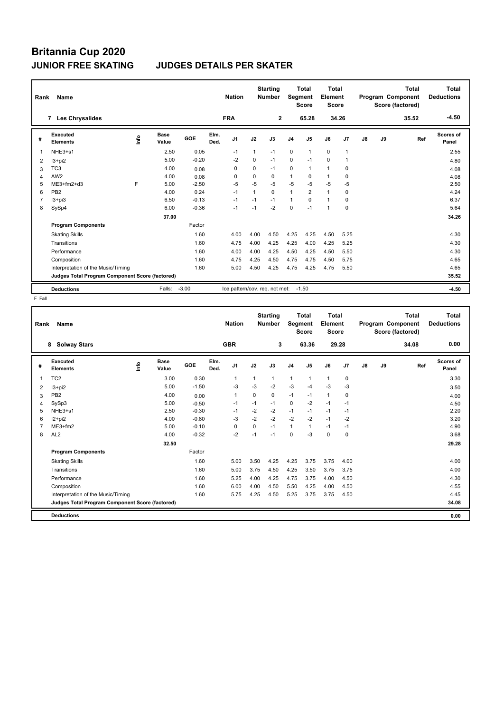## **Britannia Cup 2020 JUNIOR FREE SKATING JUDGES DETAILS PER SKATER**

| Rank           | Name                                            |      |                      |            |              | <b>Nation</b>                  |             | <b>Starting</b><br><b>Number</b> | <b>Segment</b> | Total<br><b>Score</b> | Total<br>Element<br><b>Score</b> |                |               | Program Component | Total<br>Score (factored) | Total<br><b>Deductions</b> |
|----------------|-------------------------------------------------|------|----------------------|------------|--------------|--------------------------------|-------------|----------------------------------|----------------|-----------------------|----------------------------------|----------------|---------------|-------------------|---------------------------|----------------------------|
|                | <b>Les Chrysalides</b><br>7                     |      |                      |            |              | <b>FRA</b>                     |             | $\mathbf{2}$                     |                | 65.28                 |                                  | 34.26          |               |                   | 35.52                     | $-4.50$                    |
| #              | Executed<br><b>Elements</b>                     | ١nf٥ | <b>Base</b><br>Value | <b>GOE</b> | Elm.<br>Ded. | J <sub>1</sub>                 | J2          | J3                               | J <sub>4</sub> | J <sub>5</sub>        | J6                               | J <sub>7</sub> | $\mathsf{J}8$ | J9                | Ref                       | <b>Scores of</b><br>Panel  |
| 1              | NHE3+s1                                         |      | 2.50                 | 0.05       |              | $-1$                           | 1           | $-1$                             | $\mathbf 0$    | $\mathbf{1}$          | $\mathbf 0$                      | $\overline{1}$ |               |                   |                           | 2.55                       |
| 2              | I3+pi2                                          |      | 5.00                 | $-0.20$    |              | $-2$                           | $\mathbf 0$ | $-1$                             | $\mathbf 0$    | $-1$                  | $\Omega$                         | $\overline{1}$ |               |                   |                           | 4.80                       |
| 3              | TC <sub>3</sub>                                 |      | 4.00                 | 0.08       |              | 0                              | 0           | $-1$                             | 0              | 1                     | $\mathbf{1}$                     | 0              |               |                   |                           | 4.08                       |
| 4              | AW <sub>2</sub>                                 |      | 4.00                 | 0.08       |              | 0                              | 0           | 0                                | 1              | 0                     | $\mathbf{1}$                     | 0              |               |                   |                           | 4.08                       |
| 5              | ME3+fm2+d3                                      | F    | 5.00                 | $-2.50$    |              | $-5$                           | $-5$        | $-5$                             | $-5$           | $-5$                  | $-5$                             | $-5$           |               |                   |                           | 2.50                       |
| 6              | PB <sub>2</sub>                                 |      | 4.00                 | 0.24       |              | $-1$                           |             | $\Omega$                         | $\mathbf{1}$   | $\overline{2}$        | $\mathbf{1}$                     | $\Omega$       |               |                   |                           | 4.24                       |
| $\overline{7}$ | $13 + pi3$                                      |      | 6.50                 | $-0.13$    |              | $-1$                           | $-1$        | $-1$                             | $\mathbf{1}$   | $\Omega$              | $\mathbf{1}$                     | 0              |               |                   |                           | 6.37                       |
| 8              | SySp4                                           |      | 6.00                 | $-0.36$    |              | $-1$                           | $-1$        | $-2$                             | $\Omega$       | $-1$                  | $\mathbf{1}$                     | $\Omega$       |               |                   |                           | 5.64                       |
|                |                                                 |      | 37.00                |            |              |                                |             |                                  |                |                       |                                  |                |               |                   |                           | 34.26                      |
|                | <b>Program Components</b>                       |      |                      | Factor     |              |                                |             |                                  |                |                       |                                  |                |               |                   |                           |                            |
|                | <b>Skating Skills</b>                           |      |                      | 1.60       |              | 4.00                           | 4.00        | 4.50                             | 4.25           | 4.25                  | 4.50                             | 5.25           |               |                   |                           | 4.30                       |
|                | Transitions                                     |      |                      | 1.60       |              | 4.75                           | 4.00        | 4.25                             | 4.25           | 4.00                  | 4.25                             | 5.25           |               |                   |                           | 4.30                       |
|                | Performance                                     |      |                      | 1.60       |              | 4.00                           | 4.00        | 4.25                             | 4.50           | 4.25                  | 4.50                             | 5.50           |               |                   |                           | 4.30                       |
|                | Composition                                     |      |                      | 1.60       |              | 4.75                           | 4.25        | 4.50                             | 4.75           | 4.75                  | 4.50                             | 5.75           |               |                   |                           | 4.65                       |
|                | Interpretation of the Music/Timing              |      |                      | 1.60       |              | 5.00                           | 4.50        | 4.25                             | 4.75           | 4.25                  | 4.75                             | 5.50           |               |                   |                           | 4.65                       |
|                | Judges Total Program Component Score (factored) |      |                      |            |              |                                |             |                                  |                |                       |                                  |                |               |                   |                           | 35.52                      |
|                | <b>Deductions</b>                               |      | Falls:               | $-3.00$    |              | Ice pattern/cov. req. not met: |             |                                  |                | $-1.50$               |                                  |                |               |                   |                           | -4.50                      |

| Rank | <b>Name</b>                                     |      |                      |         |              | <b>Nation</b>  |          | <b>Starting</b><br><b>Number</b> | Segment        | <b>Total</b><br><b>Score</b> | <b>Total</b><br>Element<br>Score |             |    |    | <b>Total</b><br>Program Component<br>Score (factored) | Total<br><b>Deductions</b> |
|------|-------------------------------------------------|------|----------------------|---------|--------------|----------------|----------|----------------------------------|----------------|------------------------------|----------------------------------|-------------|----|----|-------------------------------------------------------|----------------------------|
|      | 8<br><b>Solway Stars</b>                        |      |                      |         |              | <b>GBR</b>     |          | 3                                |                | 63.36                        |                                  | 29.28       |    |    | 34.08                                                 | 0.00                       |
| #    | <b>Executed</b><br><b>Elements</b>              | ١nf٥ | <b>Base</b><br>Value | GOE     | Elm.<br>Ded. | J <sub>1</sub> | J2       | J3                               | J <sub>4</sub> | J5                           | J6                               | J7          | J8 | J9 | Ref                                                   | Scores of<br>Panel         |
| 1    | TC <sub>2</sub>                                 |      | 3.00                 | 0.30    |              | $\mathbf{1}$   | 1        | 1                                | $\mathbf{1}$   | 1                            | $\mathbf{1}$                     | $\mathbf 0$ |    |    |                                                       | 3.30                       |
| 2    | I3+pi2                                          |      | 5.00                 | $-1.50$ |              | -3             | $-3$     | $-2$                             | $-3$           | $-4$                         | $-3$                             | $-3$        |    |    |                                                       | 3.50                       |
| 3    | PB <sub>2</sub>                                 |      | 4.00                 | 0.00    |              | 1              | $\Omega$ | 0                                | $-1$           | $-1$                         | $\mathbf{1}$                     | 0           |    |    |                                                       | 4.00                       |
| 4    | SySp3                                           |      | 5.00                 | $-0.50$ |              | $-1$           | $-1$     | $-1$                             | 0              | $-2$                         | $-1$                             | $-1$        |    |    |                                                       | 4.50                       |
| 5    | NHE3+s1                                         |      | 2.50                 | $-0.30$ |              | $-1$           | $-2$     | $-2$                             | $-1$           | $-1$                         | $-1$                             | $-1$        |    |    |                                                       | 2.20                       |
| 6    | $12+pi2$                                        |      | 4.00                 | $-0.80$ |              | -3             | $-2$     | $-2$                             | $-2$           | $-2$                         | $-1$                             | $-2$        |    |    |                                                       | 3.20                       |
|      | ME3+fm2                                         |      | 5.00                 | $-0.10$ |              | $\Omega$       | $\Omega$ | $-1$                             | $\mathbf{1}$   | $\mathbf{1}$                 | $-1$                             | $-1$        |    |    |                                                       | 4.90                       |
| 8    | AL <sub>2</sub>                                 |      | 4.00                 | $-0.32$ |              | $-2$           | $-1$     | $-1$                             | 0              | $-3$                         | $\mathbf 0$                      | $\mathbf 0$ |    |    |                                                       | 3.68                       |
|      |                                                 |      | 32.50                |         |              |                |          |                                  |                |                              |                                  |             |    |    |                                                       | 29.28                      |
|      | <b>Program Components</b>                       |      |                      | Factor  |              |                |          |                                  |                |                              |                                  |             |    |    |                                                       |                            |
|      | <b>Skating Skills</b>                           |      |                      | 1.60    |              | 5.00           | 3.50     | 4.25                             | 4.25           | 3.75                         | 3.75                             | 4.00        |    |    |                                                       | 4.00                       |
|      | Transitions                                     |      |                      | 1.60    |              | 5.00           | 3.75     | 4.50                             | 4.25           | 3.50                         | 3.75                             | 3.75        |    |    |                                                       | 4.00                       |
|      | Performance                                     |      |                      | 1.60    |              | 5.25           | 4.00     | 4.25                             | 4.75           | 3.75                         | 4.00                             | 4.50        |    |    |                                                       | 4.30                       |
|      | Composition                                     |      |                      | 1.60    |              | 6.00           | 4.00     | 4.50                             | 5.50           | 4.25                         | 4.00                             | 4.50        |    |    |                                                       | 4.55                       |
|      | Interpretation of the Music/Timing              |      |                      | 1.60    |              | 5.75           | 4.25     | 4.50                             | 5.25           | 3.75                         | 3.75                             | 4.50        |    |    |                                                       | 4.45                       |
|      | Judges Total Program Component Score (factored) |      |                      |         |              |                |          |                                  |                |                              |                                  |             |    |    |                                                       | 34.08                      |
|      | <b>Deductions</b>                               |      |                      |         |              |                |          |                                  |                |                              |                                  |             |    |    |                                                       | 0.00                       |